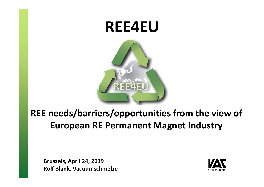

# : needs/barriers/opportunities from the view of European RE Permanent Magnet Industry REE needs/barriers/opportunities from the view of

Brussels, April 24, 2019 Rolf Blank, Vacuumschmelze

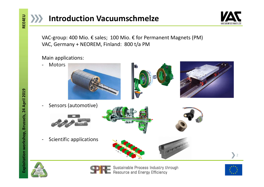



**Introduction Vacuumschmelze**<br>VAC-group: 400 Mio. € sales; 100 Mio. € for Permanent Magnets (PM)<br>VAC, Germany + NEOREM, Finland: 800 t/a PM<br>Main applications: VAC, Germany + NEOREM, Finland: 800 t/a PM

## Main applications:









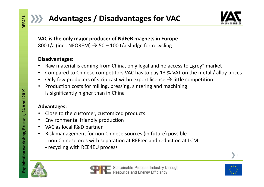



**800 Advantages / Disadvantages for VAC<br>
2000 t/a (incl. NEOREM)**  $\rightarrow$  **50 – 100 t/a sludge for recycling<br>
2000 t/a (incl. NEOREM)**  $\rightarrow$  **50 – 100 t/a sludge for recycling<br>
2018 Pisadvantages:<br>
2018 Pisadvantages:<br>
2018 Pisad** • Advantages / Disadvantages for VAC<br>
• Matchistantine VAC is the only major producer of NdFeB magnets in Europe<br>
800 t/a (incl. NEOREM)  $\rightarrow$  50 – 100 t/a sludge for recycling<br>
• Disadvantages:<br>
• Raw material is coming f

# Disadvantages:

- 
- 
- 
- 3 Advantages / Disadvantages for VAC<br>
VAC is the only major producer of NdFeB magnets in Europe<br>
800 t/a (incl. NEOREM)  $\rightarrow$  50 100 t/a sludge for recycling<br>
Disadvantages:<br>
 Raw material is coming from China, only leg **• Advantages / Disadvantages for VAC**<br>
• VAC is the only major producer of NdFeB magnets in Europe<br>
• 800 t/a (incl. NEOREM)  $\rightarrow$  50 – 100 t/a sludge for recycling<br>
• Disadvantages:<br>
• Raw material is coming from China, **• Advantages / Disadvantages for VAC**<br>
• VAC is the only major producer of NdFeB magnets in Europe<br>
800 t/a (incl. NEOREM)  $\rightarrow$  50 – 100 t/a sludge for recycling<br> **Disadvantages:**<br>
• Raw material is coming from China, on • Advantages / Disadvantages for VAC<br>
• Machinesis of Machinesia and the magnets in Europe<br>
1800 t/a (incl. NEOREM)  $\rightarrow$  50 – 100 t/a sludge for recycling<br>
Disadvantages:<br>
• Raw material is coming from China, only legal a **Advantages / Disadvantages for VAC**<br>
C is the only major producer of NdFeB magnets in Europe<br>
D t/a (incl. NEOREM)  $\rightarrow$  50 – 100 t/a sludge for recycling<br>
advantages:<br>
Raw material is coming from China, only legal and no **VAC is the only major producer of NdFeB magnets in Europe**<br>
800 t/a (incl. NEOREM)  $\rightarrow$  50 – 100 t/a sludge for recycling<br> **Disadvantages:**<br>
• Raw material is coming from China, only legal and no access to "grey" market<br> **800 t/a (incl. NEOREM) → 50 – 100 t/a sludge for recycling<br>
Disadvantages:**<br>
• Raw material is coming from China, only legal and no access to "grey<br>
• Compared to Chinese competitors VAC has to pay 13 % VAT on the n<br>
• **Disadvantages:**<br>
• Raw material is coming from China, only legal and no acce<br>
• Compared to Chinese competitors VAC has to pay 13 % V/<br>
• Only few producers of strip cast withn export license  $\rightarrow$  liferent and mathemody **Disadvantages:**<br>
• Raw material is coming from China, only legal and no access to "grey" market<br>
• Compared to Chinese competitors VAC has to pay 13 % VAT on the metal / alloy prices<br>
• Only few producers of strip cast wi Raw material is coming from China, only legal and no access to "grey" market<br>
Compared to Chinese competitors VAC has to pay 13 % VAT on the metal / alloy prices<br>
Only few producers of strip cast withn export license  $\rightarrow$  Compared to Chinese competitors VAC has to pay 13 % VAT conly few producers of strip cast withn export license  $\rightarrow$  little<br>Production costs for milling, pressing, sintering and machinin<br>is significantly higher than in Chi

# Advantages:

- 
- 
- 
- -
	-





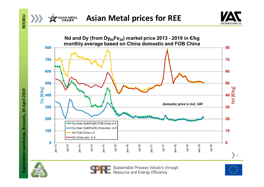









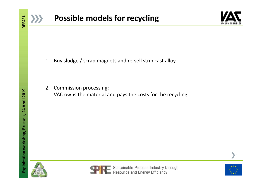



- 
- **Possible models for recycling Explority of the Control of the Control of the Control of the Control of the Control of the Control of the Control of the Control of the Control of the Control of the Control of the Control Possible models for recycling**<br>2. Buy sludge / scrap magnets and re-sell strip cast alloy<br>2. Commission processing:<br>2. Commission processing:<br>VAC owns the material and pays the costs for the recycling **POSSIble models for recycling**<br>Buy sludge / scrap magnets and re-sell strip cast alloy<br>Commission processing:<br>VAC owns the material and pays the costs for the recycling







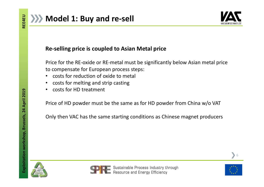

Model 1: Buy and re-sell<br>
Re-selling price is coupled to Asian Metal price<br>
Price for the RE-oxide or RE-metal must be significantly below Asian metal price<br>
to compensate for European process steps:<br>
• costs for melting a Model 1: Buy and re-sell<br>
Re-selling price is coupled to Asian Metal price<br>
Price for the RE-oxide or RE-metal must be significantly below Asian metal price<br>
to compensate for European process steps:<br>
• costs for reduction Model 1: Buy and re-sell<br>
Re-selling price is coupled to Asian Metal price<br>
Price for the RE-oxide or RE-metal must be significantly below Asian metal price<br>
to compensate for European process steps:<br>
• costs for reduction **Model 1: Buy and re-sell<br>
Re-selling price is coupled to Asian Metal price<br>
Price for the RE-oxide or RE-metal must be significantly below Asian metal price<br>
to compensate for European process steps:<br>
• costs for reductio** Model 1: Buy and re-sell<br>
Re-selling price is coupled to Asian Metal price<br>
Price for the RE-oxide or RE-metal must be significantly below Asian metal<br>
to compensate for European process steps:<br>
• costs for reduction of ox Model 1: Buy and re-sell<br>Re-selling price is coupled to Asian Metal price<br>Price for the RE-oxide or RE-metal must be significantly b<br>to compensate for European process steps:<br>• costs for reduction of oxide to metal<br>• costs Re-selling price is coupled to Asian Metal price<br>Price for the RE-oxide or RE-metal must be significantly below Asian metal price<br>to compensate for European process steps:<br>• costs for reduction of oxide to metal<br>• costs fo Re-selling price is coupled to Asian Metal price<br>Price for the RE-oxide or RE-metal must be significantly below Asian metal price<br>to compensate for European process steps:<br>• costs for reduction of oxide to metal<br>• costs fo

- 
- 
- 







6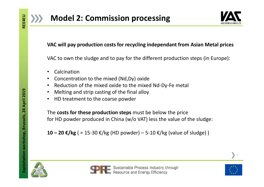



# Vacular Section of the different production steps (in Europe):<br>VAC will pay production costs for recycling independant from Asian Metal prices<br>VAC to own the sludge and to pay for the different production steps (in Europe) VAC to own the sludge and to pay for the different production steps (in Europe):<br>VAC to own the sludge and to pay for the different production steps (in Europe):<br>Calcination<br>Concentration to the mixed (Nd,Dy) oxide **Model 2: Commission processing<br>VAC will pay production costs for recycling independant from Asian Metal p<br>VAC to own the sludge and to pay for the different production steps (in Euro<br>• Calcination<br>• Concentration to the m** • Model 2: Commission processing<br>• VAC will pay production costs for recycling independant from Asian Metal prices<br>• VAC to own the sludge and to pay for the different production steps (in Europe):<br>• Calcination<br>• Reductio

- Calcination
- 
- 
- 
- 

• Model 2: Commission processing<br>• MAC will pay production costs for recycling independant from Asian Metal price<br>• VAC to own the sludge and to pay for the different production steps (in Europe):<br>• Calcination<br>• Concentr **Example 18 Constrained Processors**<br> **Example 18 Constrained And Transform Asian Metal p**<br>
VAC to own the sludge and to pay for the different production steps (in Euro<br>
• Calcination<br>
• Calcination of the mixed (Nd,Dy) oxi VAC will pay production costs for recycling independant from Asian Metal prices<br>VAC to own the sludge and to pay for the different production steps (in Europe):<br>• Calcination<br>• Concentration to the mixed (Nd,Dy) oxide<br>• VAC will pay production costs for recycling independant from Asian Metal prices<br>VAC to own the sludge and to pay for the different production steps (in Europe):<br>
• Calcination<br>
• Concentration to the mixed (Nd,Dy) oxide<br> **10 – 20 €/kg** ( = 15-30 €/kg (HD powder) – 5-10 €/kg (value of sludge) **CONGEX**<br>
10 – 20 €/kg (= 15-30 €/kg (HD powder) – 5-10 €/kg (value of sludge) and the sludge of the final alloy<br>
20 – 20 €/kg (= 15-30 €/kg (HD powd







7